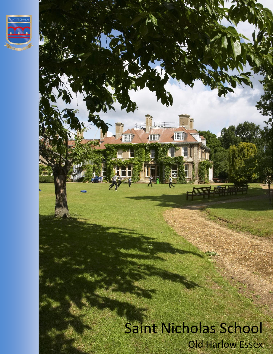

# nana 個 **THE** Saint Nicholas School Old Harlow Essex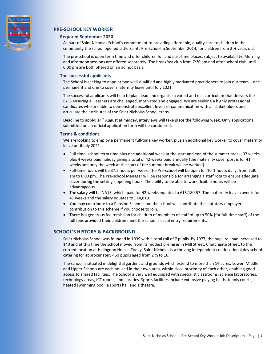

## **PRE-SCHOOL KEY WORKER**

### **Required September 2020**

As part of Saint Nicholas School's commitment to providing affordable, quality care to children in the community the school opened Little Saints Pre-School in September 2014, for children from 2 ½ years old.

The pre-school is open term time and offer children full and part-time places, subject to availability. Morning and afternoon sessions are offered separately. The breakfast club from 7:30 am and after-school club until 6:00 pm are both offered on an ad hoc basis.

### **The successful applicants**

The School is seeking to appoint two well-qualified and highly motivated practitioners to join our team – one permanent and one to cover maternity leave until July 2021.

The successful applicants will help to plan, lead and organise a varied and rich curriculum that delivers the EYFS ensuring all learners are challenged, motivated and engaged. We are seeking a highly professional candidates who are able to demonstrate excellent levels of communication with all stakeholders and articulate the attributes of the Saint Nicholas School ethos.

Deadline to apply: 14<sup>th</sup> August at midday, interviews will take place the following week. Only applications submitted on an official application form will be considered.

### **Terms & conditions**

We are looking to employ a permanent full-time key worker, plus an additional key worker to cover maternity leave until July 2021.

- Full-time, school term time plus one additional week at the start and end of the summer break, 37 weeks plus 4 weeks paid holiday giving a total of 42 weeks paid annually (the maternity cover post is for 41 weeks and only the week at the start of the summer break will be worked).
- Full-time hours will be 37.5 hours per week. The Pre-school will be open for 10  $\frac{1}{2}$  hours daily, from 7:30 am to 6:00 pm. The Pre-school Manager will be responsible for arranging a staff rota to ensure adequate cover during the setting's opening hours. The ability to be able to work flexible hours will be advantageous.
- The salary will be NA15, which, paid for 42 weeks equates to £15,180.57. The maternity leave cover is for 41 weeks and the salary equates to £14,819.
- You may contribute to a Pension Scheme and the school will contribute the statutory employer's contribution to this scheme if you choose to join.
- There is a generous fee remission for children of members of staff of up to 50% (for full-time staff) of the full fees provided their children meet the school's usual entry requirements.

### **SCHOOL'S HISTORY & BACKGROUND**

Saint Nicholas School was founded in 1939 with a total roll of 7 pupils. By 1977, the pupil roll had increased to 140 and at this time the school moved from its modest premises in Mill Street, Churchgate Street, to the current location at Hillingdon House. Today, Saint Nicholas is a thriving independent coeducational day school catering for approximately 460 pupils aged from 2 ½ to 16.

The school is situated in delightful gardens and grounds which extend to more than 14 acres. Lower, Middle and Upper Schools are each housed in their own area, within close proximity of each other, enabling good access to shared facilities. The School is very well equipped with specialist classrooms, science laboratories, technology areas, ICT rooms, and libraries. Sports facilities include extensive playing fields, tennis courts, a heated swimming pool, a sports hall and a theatre.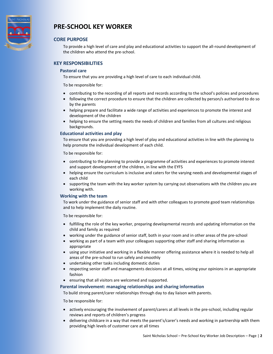

# **PRE-SCHOOL KEY WORKER**

### **CORE PURPOSE**

To provide a high level of care and play and educational activities to support the all-round development of the children who attend the pre-school.

### **KEY RESPONSIBILITIES**

### **Pastoral care**

To ensure that you are providing a high level of care to each individual child.

To be responsible for:

- contributing to the recording of all reports and records according to the school's policies and procedures
- following the correct procedure to ensure that the children are collected by person/s authorised to do so by the parents
- helping prepare and facilitate a wide range of activities and experiences to promote the interest and development of the children
- helping to ensure the setting meets the needs of children and families from all cultures and religious backgrounds.

### **Educational activities and play**

To ensure that you are providing a high level of play and educational activities in line with the planning to help promote the individual development of each child.

To be responsible for:

- contributing to the planning to provide a programme of activities and experiences to promote interest and support development of the children, in line with the EYFS
- helping ensure the curriculum is inclusive and caters for the varying needs and developmental stages of each child
- supporting the team with the key worker system by carrying out observations with the children you are working with.

### **Working with the team**

To work under the guidance of senior staff and with other colleagues to promote good team relationships and to help implement the daily routine.

To be responsible for:

- fulfilling the role of the key worker, preparing developmental records and updating information on the child and family as required
- working under the guidance of senior staff, both in your room and in other areas of the pre-school
- working as part of a team with your colleagues supporting other staff and sharing information as appropriate
- using your initiative and working in a flexible manner offering assistance where it is needed to help all areas of the pre-school to run safely and smoothly
- undertaking other tasks including domestic duties
- respecting senior staff and managements decisions at all times, voicing your opinions in an appropriate fashion
- ensuring that all visitors are welcomed and supported.

**Parental involvement: managing relationships and sharing information**

To build strong parent/carer relationships through day to day liaison with parents.

To be responsible for:

- actively encouraging the involvement of parent/carers at all levels in the pre-school, including regular reviews and reports of children's progress
- delivering childcare in a way that meets the parent's/carer's needs and working in partnership with them providing high levels of customer care at all times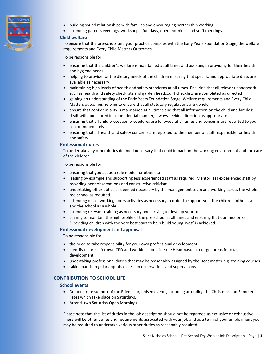

- building sound relationships with families and encouraging partnership working
- attending parents evenings, workshops, fun days, open mornings and staff meetings.

### **Child welfare**

To ensure that the pre-school and your practice complies with the Early Years Foundation Stage, the welfare requirements and Every Child Matters Outcomes.

To be responsible for:

- ensuring that the children's welfare is maintained at all times and assisting in providing for their health and hygiene needs
- helping to provide for the dietary needs of the children ensuring that specific and appropriate diets are available as necessary
- maintaining high levels of health and safety standards at all times. Ensuring that all relevant paperwork such as health and safety checklists and garden headcount checklists are completed as directed
- gaining an understanding of the Early Years Foundation Stage, Welfare requirements and Every Child Matters outcomes helping to ensure that all statutory regulations are upheld
- ensure that confidentiality is maintained at all times and that all information on the child and family is dealt with and stored in a confidential manner, always seeking direction as appropriate
- ensuring that all child protection procedures are followed at all times and concerns are reported to your senior immediately
- ensuring that all health and safety concerns are reported to the member of staff responsible for health and safety.

### **Professional duties**

To undertake any other duties deemed necessary that could impact on the working environment and the care of the children.

To be responsible for:

- ensuring that you act as a role model for other staff
- leading by example and supporting less experienced staff as required. Mentor less experienced staff by providing peer observations and constructive criticism
- undertaking other duties as deemed necessary by the management team and working across the whole pre-school as required
- attending out of working hours activities as necessary in order to support you, the children, other staff and the school as a whole
- attending relevant training as necessary and striving to develop your role
- striving to maintain the high profile of the pre-school at all times and ensuring that our mission of "Providing children with the very best start to help build young lives" is achieved.

### **Professional development and appraisal**

To be responsible for:

- the need to take responsibility for your own professional development
- identifying areas for own CPD and working alongside the Headmaster to target areas for own development
- undertaking professional duties that may be reasonably assigned by the Headmaster e.g. training courses
- taking part in regular appraisals, lesson observations and supervisions.

### **CONTRIBUTION TO SCHOOL LIFE**

### **School events**

- Demonstrate support of the Friends organised events, including attending the Christmas and Summer Fetes which take place on Saturdays.
- Attend two Saturday Open Mornings

Please note that the list of duties in the job description should not be regarded as exclusive or exhaustive. There will be other duties and requirements associated with your job and as a term of your employment you may be required to undertake various other duties as reasonably required.